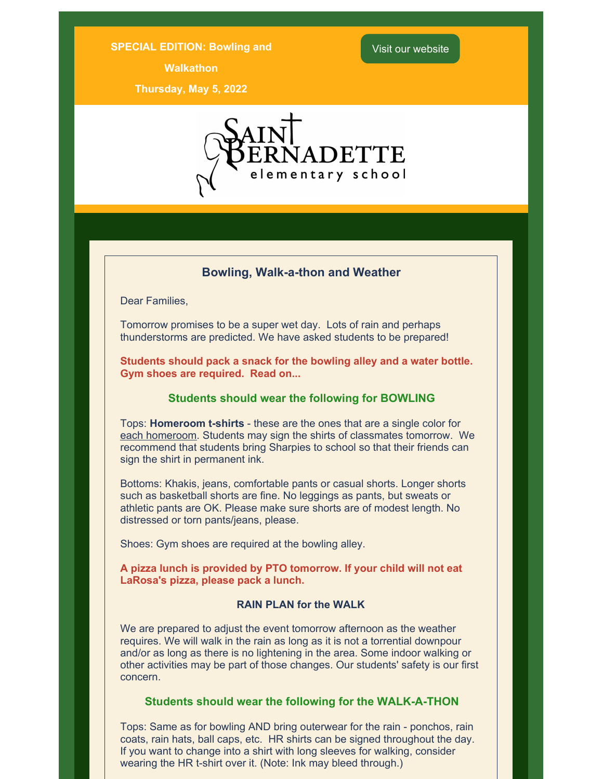#### **SPECIAL EDITION: Bowling and**

**Walkathon**

**Thursday, May 5, 2022**



## **Bowling, Walk-a-thon and Weather**

Dear Families,

Tomorrow promises to be a super wet day. Lots of rain and perhaps thunderstorms are predicted. We have asked students to be prepared!

**Students should pack a snack for the bowling alley and a water bottle. Gym shoes are required. Read on...**

## **Students should wear the following for BOWLING**

Tops: **Homeroom t-shirts** - these are the ones that are a single color for each homeroom. Students may sign the shirts of classmates tomorrow. We recommend that students bring Sharpies to school so that their friends can sign the shirt in permanent ink.

Bottoms: Khakis, jeans, comfortable pants or casual shorts. Longer shorts such as basketball shorts are fine. No leggings as pants, but sweats or athletic pants are OK. Please make sure shorts are of modest length. No distressed or torn pants/jeans, please.

Shoes: Gym shoes are required at the bowling alley.

**A pizza lunch is provided by PTO tomorrow. If your child will not eat LaRosa's pizza, please pack a lunch.**

## **RAIN PLAN for the WALK**

We are prepared to adjust the event tomorrow afternoon as the weather requires. We will walk in the rain as long as it is not a torrential downpour and/or as long as there is no lightening in the area. Some indoor walking or other activities may be part of those changes. Our students' safety is our first concern.

#### **Students should wear the following for the WALK-A-THON**

Tops: Same as for bowling AND bring outerwear for the rain - ponchos, rain coats, rain hats, ball caps, etc. HR shirts can be signed throughout the day. If you want to change into a shirt with long sleeves for walking, consider wearing the HR t-shirt over it. (Note: Ink may bleed through.)

# Visit our website